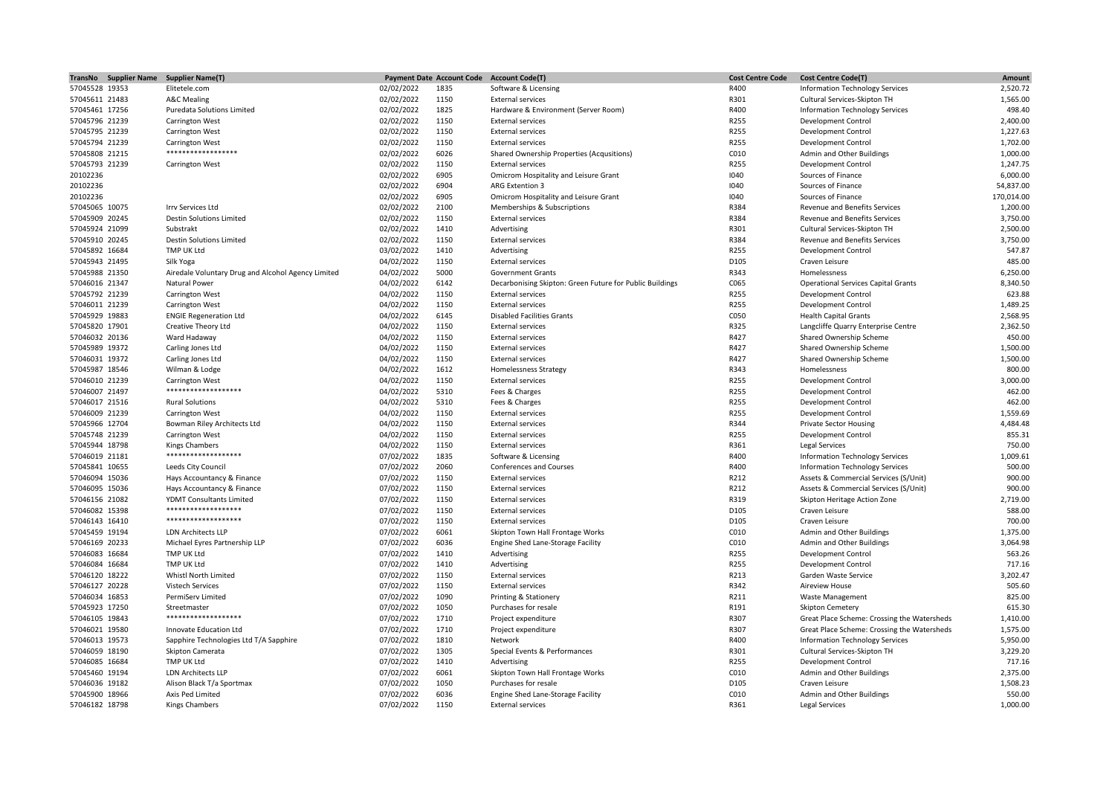| TransNo Supplier Name | <b>Supplier Name(T)</b>                            |            | <b>Payment Date Account Code</b> | <b>Account Code(T)</b>                                   | <b>Cost Centre Code</b> | <b>Cost Centre Code(T)</b>                  | Amount                 |
|-----------------------|----------------------------------------------------|------------|----------------------------------|----------------------------------------------------------|-------------------------|---------------------------------------------|------------------------|
| 57045528 19353        | Elitetele.com                                      | 02/02/2022 | 1835                             | Software & Licensing                                     | R400                    | <b>Information Technology Services</b>      | 2,520.72               |
| 57045611 21483        | <b>A&amp;C Mealing</b>                             | 02/02/2022 | 1150                             | <b>External services</b>                                 | R301                    | Cultural Services-Skipton TH                | 1,565.00               |
| 57045461 17256        | Puredata Solutions Limited                         | 02/02/2022 | 1825                             | Hardware & Environment (Server Room)                     | R400                    | <b>Information Technology Services</b>      | 498.40                 |
| 57045796 21239        | <b>Carrington West</b>                             | 02/02/2022 | 1150                             | <b>External services</b>                                 | R255                    | Development Control                         | 2,400.00               |
| 57045795 21239        | <b>Carrington West</b>                             | 02/02/2022 | 1150                             | <b>External services</b>                                 | R255                    | Development Control                         | 1,227.63               |
| 57045794 21239        | <b>Carrington West</b>                             | 02/02/2022 | 1150                             | <b>External services</b>                                 | R255                    | <b>Development Control</b>                  | 1,702.00               |
| 57045808 21215        | ******************                                 | 02/02/2022 | 6026                             | Shared Ownership Properties (Acqusitions)                | C010                    | Admin and Other Buildings                   | 1,000.00               |
| 57045793 21239        | <b>Carrington West</b>                             | 02/02/2022 | 1150                             | <b>External services</b>                                 | R255                    | <b>Development Control</b>                  | 1,247.75               |
| 20102236              |                                                    | 02/02/2022 | 6905                             | Omicrom Hospitality and Leisure Grant                    | 1040                    | Sources of Finance                          | 6,000.00               |
| 20102236              |                                                    | 02/02/2022 | 6904                             | <b>ARG Extention 3</b>                                   | 1040                    | Sources of Finance                          | 54,837.00              |
|                       |                                                    |            |                                  |                                                          | 1040                    | Sources of Finance                          |                        |
| 20102236              |                                                    | 02/02/2022 | 6905                             | Omicrom Hospitality and Leisure Grant                    | R384                    |                                             | 170,014.00<br>1,200.00 |
| 57045065 10075        | Irrv Services Ltd                                  | 02/02/2022 | 2100                             | Memberships & Subscriptions                              |                         | Revenue and Benefits Services               |                        |
| 57045909 20245        | <b>Destin Solutions Limited</b>                    | 02/02/2022 | 1150                             | <b>External services</b>                                 | R384                    | <b>Revenue and Benefits Services</b>        | 3,750.00               |
| 57045924 21099        | Substrakt                                          | 02/02/2022 | 1410                             | Advertising                                              | R301                    | Cultural Services-Skipton TH                | 2,500.00               |
| 57045910 20245        | <b>Destin Solutions Limited</b>                    | 02/02/2022 | 1150                             | <b>External services</b>                                 | R384                    | Revenue and Benefits Services               | 3,750.00               |
| 57045892 16684        | TMP UK Ltd                                         | 03/02/2022 | 1410                             | Advertising                                              | R255                    | Development Control                         | 547.87                 |
| 57045943 21495        | Silk Yoga                                          | 04/02/2022 | 1150                             | <b>External services</b>                                 | D105                    | Craven Leisure                              | 485.00                 |
| 57045988 21350        | Airedale Voluntary Drug and Alcohol Agency Limited | 04/02/2022 | 5000                             | <b>Government Grants</b>                                 | R343                    | Homelessness                                | 6,250.00               |
| 57046016 21347        | Natural Power                                      | 04/02/2022 | 6142                             | Decarbonising Skipton: Green Future for Public Buildings | C065                    | <b>Operational Services Capital Grants</b>  | 8,340.50               |
| 57045792 21239        | <b>Carrington West</b>                             | 04/02/2022 | 1150                             | <b>External services</b>                                 | R255                    | Development Control                         | 623.88                 |
| 57046011 21239        | <b>Carrington West</b>                             | 04/02/2022 | 1150                             | <b>External services</b>                                 | R255                    | <b>Development Control</b>                  | 1,489.25               |
| 57045929 19883        | <b>ENGIE Regeneration Ltd</b>                      | 04/02/2022 | 6145                             | <b>Disabled Facilities Grants</b>                        | C050                    | <b>Health Capital Grants</b>                | 2,568.95               |
| 57045820 17901        | Creative Theory Ltd                                | 04/02/2022 | 1150                             | <b>External services</b>                                 | R325                    | Langcliffe Quarry Enterprise Centre         | 2,362.50               |
| 57046032 20136        | Ward Hadaway                                       | 04/02/2022 | 1150                             | <b>External services</b>                                 | R427                    | Shared Ownership Scheme                     | 450.00                 |
| 57045989 19372        | Carling Jones Ltd                                  | 04/02/2022 | 1150                             | <b>External services</b>                                 | R427                    | Shared Ownership Scheme                     | 1,500.00               |
| 57046031 19372        | Carling Jones Ltd                                  | 04/02/2022 | 1150                             | <b>External services</b>                                 | R427                    | Shared Ownership Scheme                     | 1,500.00               |
| 57045987 18546        | Wilman & Lodge                                     | 04/02/2022 | 1612                             | <b>Homelessness Strategy</b>                             | R343                    | Homelessness                                | 800.00                 |
| 57046010 21239        | <b>Carrington West</b>                             | 04/02/2022 | 1150                             | <b>External services</b>                                 | R255                    | Development Control                         | 3,000.00               |
| 57046007 21497        | ******************                                 | 04/02/2022 | 5310                             | Fees & Charges                                           | R255                    | Development Control                         | 462.00                 |
|                       |                                                    |            |                                  |                                                          | R255                    |                                             | 462.00                 |
| 57046017 21516        | <b>Rural Solutions</b>                             | 04/02/2022 | 5310                             | Fees & Charges                                           |                         | Development Control                         |                        |
| 57046009 21239        | <b>Carrington West</b>                             | 04/02/2022 | 1150                             | <b>External services</b>                                 | R255                    | <b>Development Control</b>                  | 1,559.69               |
| 57045966 12704        | Bowman Riley Architects Ltd                        | 04/02/2022 | 1150                             | <b>External services</b>                                 | R344                    | <b>Private Sector Housing</b>               | 4,484.48               |
| 57045748 21239        | <b>Carrington West</b>                             | 04/02/2022 | 1150                             | <b>External services</b>                                 | R255                    | <b>Development Control</b>                  | 855.31                 |
| 57045944 18798        | Kings Chambers                                     | 04/02/2022 | 1150                             | <b>External services</b>                                 | R361                    | Legal Services                              | 750.00                 |
| 57046019 21181        | *******************                                | 07/02/2022 | 1835                             | Software & Licensing                                     | R400                    | <b>Information Technology Services</b>      | 1,009.61               |
| 57045841 10655        | Leeds City Council                                 | 07/02/2022 | 2060                             | Conferences and Courses                                  | R400                    | <b>Information Technology Services</b>      | 500.00                 |
| 57046094 15036        | Hays Accountancy & Finance                         | 07/02/2022 | 1150                             | <b>External services</b>                                 | R212                    | Assets & Commercial Services (S/Unit)       | 900.00                 |
| 57046095 15036        | Hays Accountancy & Finance                         | 07/02/2022 | 1150                             | <b>External services</b>                                 | R212                    | Assets & Commercial Services (S/Unit)       | 900.00                 |
| 57046156 21082        | YDMT Consultants Limited                           | 07/02/2022 | 1150                             | <b>External services</b>                                 | R319                    | Skipton Heritage Action Zone                | 2,719.00               |
| 57046082 15398        | *******************                                | 07/02/2022 | 1150                             | <b>External services</b>                                 | D105                    | Craven Leisure                              | 588.00                 |
| 57046143 16410        | *******************                                | 07/02/2022 | 1150                             | <b>External services</b>                                 | D105                    | Craven Leisure                              | 700.00                 |
| 57045459 19194        | <b>LDN Architects LLP</b>                          | 07/02/2022 | 6061                             | Skipton Town Hall Frontage Works                         | C010                    | Admin and Other Buildings                   | 1,375.00               |
| 57046169 20233        | Michael Eyres Partnership LLP                      | 07/02/2022 | 6036                             | Engine Shed Lane-Storage Facility                        | C010                    | Admin and Other Buildings                   | 3,064.98               |
| 57046083 16684        | TMP UK Ltd                                         | 07/02/2022 | 1410                             | Advertising                                              | R255                    | <b>Development Control</b>                  | 563.26                 |
| 57046084 16684        | <b>TMP UK Ltd</b>                                  | 07/02/2022 | 1410                             | Advertising                                              | R255                    | Development Control                         | 717.16                 |
| 57046120 18222        | Whistl North Limited                               | 07/02/2022 | 1150                             | <b>External services</b>                                 | R213                    | Garden Waste Service                        | 3,202.47               |
| 57046127 20228        | <b>Vistech Services</b>                            | 07/02/2022 | 1150                             | <b>External services</b>                                 | R342                    | <b>Aireview House</b>                       | 505.60                 |
| 57046034 16853        | PermiServ Limited                                  | 07/02/2022 | 1090                             | Printing & Stationery                                    | R211                    | <b>Waste Management</b>                     | 825.00                 |
| 57045923 17250        | Streetmaster                                       | 07/02/2022 | 1050                             | Purchases for resale                                     | R191                    | <b>Skipton Cemetery</b>                     | 615.30                 |
|                       | *******************                                |            |                                  |                                                          |                         |                                             |                        |
| 57046105 19843        |                                                    | 07/02/2022 | 1710                             | Project expenditure                                      | R307                    | Great Place Scheme: Crossing the Watersheds | 1,410.00               |
| 57046021 19580        | Innovate Education Ltd                             | 07/02/2022 | 1710                             | Project expenditure                                      | R307                    | Great Place Scheme: Crossing the Watersheds | 1,575.00               |
| 57046013 19573        | Sapphire Technologies Ltd T/A Sapphire             | 07/02/2022 | 1810                             | Network                                                  | R400                    | <b>Information Technology Services</b>      | 5,950.00               |
| 57046059 18190        | Skipton Camerata                                   | 07/02/2022 | 1305                             | Special Events & Performances                            | R301                    | Cultural Services-Skipton TH                | 3,229.20               |
| 57046085 16684        | TMP UK Ltd                                         | 07/02/2022 | 1410                             | Advertising                                              | R255                    | Development Control                         | 717.16                 |
| 57045460 19194        | <b>LDN Architects LLP</b>                          | 07/02/2022 | 6061                             | Skipton Town Hall Frontage Works                         | C010                    | Admin and Other Buildings                   | 2,375.00               |
| 57046036 19182        | Alison Black T/a Sportmax                          | 07/02/2022 | 1050                             | Purchases for resale                                     | D105                    | Craven Leisure                              | 1,508.23               |
| 57045900 18966        | Axis Ped Limited                                   | 07/02/2022 | 6036                             | Engine Shed Lane-Storage Facility                        | C010                    | Admin and Other Buildings                   | 550.00                 |
| 57046182 18798        | <b>Kings Chambers</b>                              | 07/02/2022 | 1150                             | <b>External services</b>                                 | R361                    | <b>Legal Services</b>                       | 1.000.00               |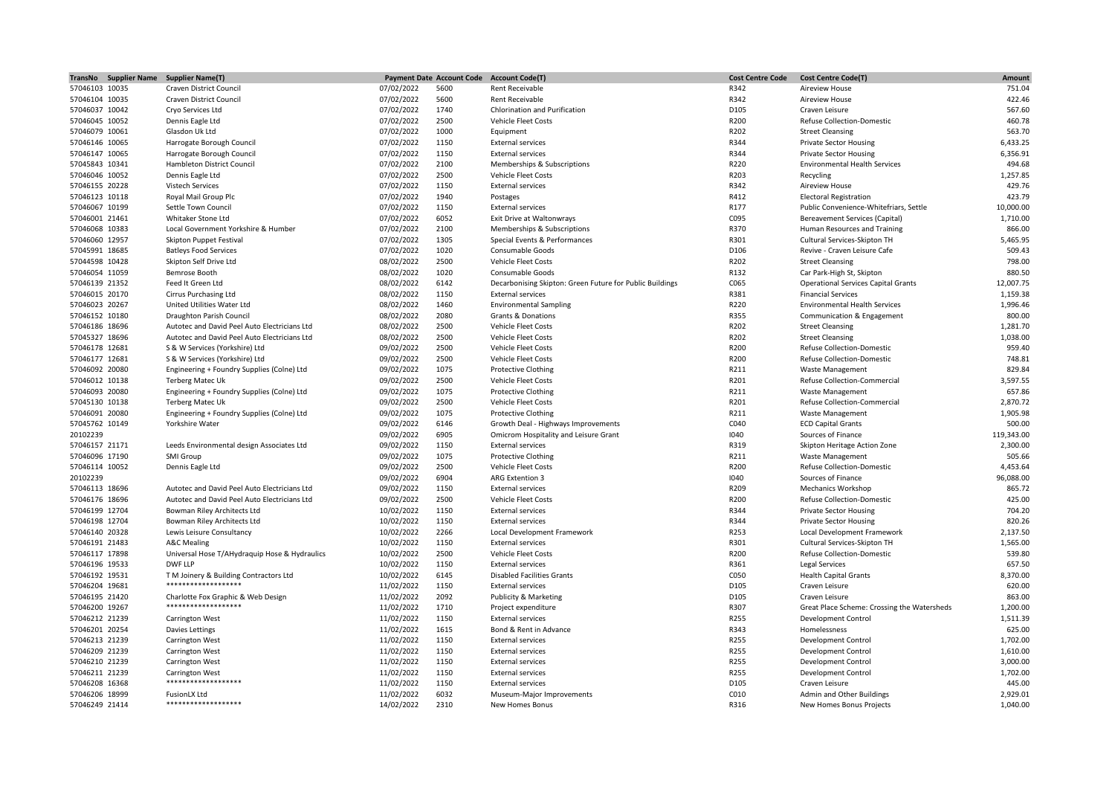| TransNo Supplier Name | <b>Supplier Name(T)</b>                       |            | <b>Payment Date Account Code</b> | <b>Account Code(T)</b>                                   | <b>Cost Centre Code</b> | <b>Cost Centre Code(T)</b>                  | Amount     |
|-----------------------|-----------------------------------------------|------------|----------------------------------|----------------------------------------------------------|-------------------------|---------------------------------------------|------------|
| 57046103 10035        | Craven District Council                       | 07/02/2022 | 5600                             | Rent Receivable                                          | R342                    | <b>Aireview House</b>                       | 751.04     |
| 57046104 10035        | Craven District Council                       | 07/02/2022 | 5600                             | Rent Receivable                                          | R342                    | Aireview House                              | 422.46     |
| 57046037 10042        | Cryo Services Ltd                             | 07/02/2022 | 1740                             | Chlorination and Purification                            | D105                    | Craven Leisure                              | 567.60     |
| 57046045 10052        | Dennis Eagle Ltd                              | 07/02/2022 | 2500                             | Vehicle Fleet Costs                                      | R200                    | <b>Refuse Collection-Domestic</b>           | 460.78     |
| 57046079 10061        | Glasdon Uk Ltd                                | 07/02/2022 | 1000                             | Equipment                                                | R202                    | <b>Street Cleansing</b>                     | 563.70     |
| 57046146 10065        | Harrogate Borough Council                     | 07/02/2022 | 1150                             | <b>External services</b>                                 | R344                    | <b>Private Sector Housing</b>               | 6,433.25   |
| 57046147 10065        | Harrogate Borough Council                     | 07/02/2022 | 1150                             | <b>External services</b>                                 | R344                    | <b>Private Sector Housing</b>               | 6,356.91   |
| 57045843 10341        | Hambleton District Council                    | 07/02/2022 | 2100                             | Memberships & Subscriptions                              | R220                    | <b>Environmental Health Services</b>        | 494.68     |
| 57046046 10052        | Dennis Eagle Ltd                              | 07/02/2022 | 2500                             | Vehicle Fleet Costs                                      | R203                    | Recycling                                   | 1,257.85   |
| 57046155 20228        | Vistech Services                              | 07/02/2022 | 1150                             | <b>External services</b>                                 | R342                    | Aireview House                              | 429.76     |
| 57046123 10118        | Royal Mail Group Plc                          | 07/02/2022 | 1940                             | Postages                                                 | R412                    | <b>Electoral Registration</b>               | 423.79     |
| 57046067 10199        | Settle Town Council                           | 07/02/2022 | 1150                             | <b>External services</b>                                 | R177                    | Public Convenience-Whitefriars, Settle      | 10,000.00  |
| 57046001 21461        | Whitaker Stone Ltd                            | 07/02/2022 | 6052                             | Exit Drive at Waltonwrays                                | C095                    | <b>Bereavement Services (Capital)</b>       | 1,710.00   |
| 57046068 10383        | Local Government Yorkshire & Humber           | 07/02/2022 | 2100                             | Memberships & Subscriptions                              | R370                    | Human Resources and Training                | 866.00     |
|                       |                                               |            |                                  |                                                          |                         |                                             |            |
| 57046060 12957        | Skipton Puppet Festival                       | 07/02/2022 | 1305                             | Special Events & Performances                            | R301                    | Cultural Services-Skipton TH                | 5,465.95   |
| 57045991 18685        | <b>Batleys Food Services</b>                  | 07/02/2022 | 1020                             | Consumable Goods                                         | D106                    | Revive - Craven Leisure Cafe                | 509.43     |
| 57044598 10428        | Skipton Self Drive Ltd                        | 08/02/2022 | 2500                             | Vehicle Fleet Costs                                      | R202                    | <b>Street Cleansing</b>                     | 798.00     |
| 57046054 11059        | <b>Bemrose Booth</b>                          | 08/02/2022 | 1020                             | Consumable Goods                                         | R132                    | Car Park-High St, Skipton                   | 880.50     |
| 57046139 21352        | Feed It Green Ltd                             | 08/02/2022 | 6142                             | Decarbonising Skipton: Green Future for Public Buildings | C065                    | <b>Operational Services Capital Grants</b>  | 12,007.75  |
| 57046015 20170        | <b>Cirrus Purchasing Ltd</b>                  | 08/02/2022 | 1150                             | <b>External services</b>                                 | R381                    | <b>Financial Services</b>                   | 1,159.38   |
| 57046023 20267        | United Utilities Water Ltd                    | 08/02/2022 | 1460                             | <b>Environmental Sampling</b>                            | R220                    | <b>Environmental Health Services</b>        | 1,996.46   |
| 57046152 10180        | Draughton Parish Council                      | 08/02/2022 | 2080                             | Grants & Donations                                       | R355                    | Communication & Engagement                  | 800.00     |
| 57046186 18696        | Autotec and David Peel Auto Electricians Ltd  | 08/02/2022 | 2500                             | Vehicle Fleet Costs                                      | R202                    | <b>Street Cleansing</b>                     | 1,281.70   |
| 57045327 18696        | Autotec and David Peel Auto Electricians Ltd  | 08/02/2022 | 2500                             | <b>Vehicle Fleet Costs</b>                               | R202                    | <b>Street Cleansing</b>                     | 1,038.00   |
| 57046178 12681        | S & W Services (Yorkshire) Ltd                | 09/02/2022 | 2500                             | Vehicle Fleet Costs                                      | R200                    | Refuse Collection-Domestic                  | 959.40     |
| 57046177 12681        | S & W Services (Yorkshire) Ltd                | 09/02/2022 | 2500                             | Vehicle Fleet Costs                                      | R200                    | <b>Refuse Collection-Domestic</b>           | 748.81     |
| 57046092 20080        | Engineering + Foundry Supplies (Colne) Ltd    | 09/02/2022 | 1075                             | <b>Protective Clothing</b>                               | R211                    | <b>Waste Management</b>                     | 829.84     |
| 57046012 10138        | <b>Terberg Matec Uk</b>                       | 09/02/2022 | 2500                             | Vehicle Fleet Costs                                      | R201                    | Refuse Collection-Commercial                | 3,597.55   |
| 57046093 20080        | Engineering + Foundry Supplies (Colne) Ltd    | 09/02/2022 | 1075                             | <b>Protective Clothing</b>                               | R211                    | <b>Waste Management</b>                     | 657.86     |
| 57045130 10138        | <b>Terberg Matec Uk</b>                       | 09/02/2022 | 2500                             | Vehicle Fleet Costs                                      | R201                    | Refuse Collection-Commercial                | 2,870.72   |
| 57046091 20080        | Engineering + Foundry Supplies (Colne) Ltd    | 09/02/2022 | 1075                             | <b>Protective Clothing</b>                               | R211                    | Waste Management                            | 1,905.98   |
| 57045762 10149        | Yorkshire Water                               | 09/02/2022 | 6146                             | Growth Deal - Highways Improvements                      | C040                    | <b>ECD Capital Grants</b>                   | 500.00     |
| 20102239              |                                               | 09/02/2022 | 6905                             | Omicrom Hospitality and Leisure Grant                    | 1040                    | Sources of Finance                          | 119,343.00 |
| 57046157 21171        | Leeds Environmental design Associates Ltd     | 09/02/2022 | 1150                             | <b>External services</b>                                 | R319                    | Skipton Heritage Action Zone                | 2,300.00   |
| 57046096 17190        | SMI Group                                     | 09/02/2022 | 1075                             | <b>Protective Clothing</b>                               | R211                    | Waste Management                            | 505.66     |
| 57046114 10052        | Dennis Eagle Ltd                              | 09/02/2022 | 2500                             | Vehicle Fleet Costs                                      | R200                    | <b>Refuse Collection-Domestic</b>           | 4,453.64   |
| 20102239              |                                               | 09/02/2022 | 6904                             | ARG Extention 3                                          | 1040                    | Sources of Finance                          | 96,088.00  |
| 57046113 18696        | Autotec and David Peel Auto Electricians Ltd  | 09/02/2022 | 1150                             | <b>External services</b>                                 | R209                    | <b>Mechanics Workshop</b>                   | 865.72     |
|                       |                                               |            |                                  |                                                          |                         |                                             |            |
| 57046176 18696        | Autotec and David Peel Auto Electricians Ltd  | 09/02/2022 | 2500                             | <b>Vehicle Fleet Costs</b>                               | R200                    | <b>Refuse Collection-Domestic</b>           | 425.00     |
| 57046199 12704        | Bowman Riley Architects Ltd                   | 10/02/2022 | 1150                             | <b>External services</b>                                 | R344                    | <b>Private Sector Housing</b>               | 704.20     |
| 57046198 12704        | Bowman Riley Architects Ltd                   | 10/02/2022 | 1150                             | <b>External services</b>                                 | R344                    | <b>Private Sector Housing</b>               | 820.26     |
| 57046140 20328        | Lewis Leisure Consultancy                     | 10/02/2022 | 2266                             | Local Development Framework                              | R253                    | Local Development Framework                 | 2,137.50   |
| 57046191 21483        | <b>A&amp;C Mealing</b>                        | 10/02/2022 | 1150                             | <b>External services</b>                                 | R301                    | Cultural Services-Skipton TH                | 1,565.00   |
| 57046117 17898        | Universal Hose T/AHydraquip Hose & Hydraulics | 10/02/2022 | 2500                             | Vehicle Fleet Costs                                      | R200                    | Refuse Collection-Domestic                  | 539.80     |
| 57046196 19533        | DWF LLP                                       | 10/02/2022 | 1150                             | <b>External services</b>                                 | R361                    | <b>Legal Services</b>                       | 657.50     |
| 57046192 19531        | T M Joinery & Building Contractors Ltd        | 10/02/2022 | 6145                             | <b>Disabled Facilities Grants</b>                        | C050                    | <b>Health Capital Grants</b>                | 8,370.00   |
| 57046204 19681        | *******************                           | 11/02/2022 | 1150                             | <b>External services</b>                                 | D105                    | Craven Leisure                              | 620.00     |
| 57046195 21420        | Charlotte Fox Graphic & Web Design            | 11/02/2022 | 2092                             | Publicity & Marketing                                    | D105                    | Craven Leisure                              | 863.00     |
| 57046200 19267        | *******************                           | 11/02/2022 | 1710                             | Project expenditure                                      | R307                    | Great Place Scheme: Crossing the Watersheds | 1,200.00   |
| 57046212 21239        | <b>Carrington West</b>                        | 11/02/2022 | 1150                             | <b>External services</b>                                 | R255                    | <b>Development Control</b>                  | 1,511.39   |
| 57046201 20254        | Davies Lettings                               | 11/02/2022 | 1615                             | Bond & Rent in Advance                                   | R343                    | Homelessness                                | 625.00     |
| 57046213 21239        | <b>Carrington West</b>                        | 11/02/2022 | 1150                             | <b>External services</b>                                 | R255                    | Development Control                         | 1,702.00   |
| 57046209 21239        | Carrington West                               | 11/02/2022 | 1150                             | <b>External services</b>                                 | R255                    | <b>Development Control</b>                  | 1,610.00   |
| 57046210 21239        | <b>Carrington West</b>                        | 11/02/2022 | 1150                             | <b>External services</b>                                 | R255                    | <b>Development Control</b>                  | 3,000.00   |
| 57046211 21239        | <b>Carrington West</b>                        | 11/02/2022 | 1150                             | <b>External services</b>                                 | R255                    | <b>Development Control</b>                  | 1,702.00   |
| 57046208 16368        | *******************                           | 11/02/2022 | 1150                             | <b>External services</b>                                 | D105                    | Craven Leisure                              | 445.00     |
| 57046206 18999        | FusionLX Ltd                                  | 11/02/2022 | 6032                             | Museum-Major Improvements                                | C010                    | Admin and Other Buildings                   | 2,929.01   |
| 57046249 21414        | *******************                           | 14/02/2022 | 2310                             | New Homes Bonus                                          | R316                    | New Homes Bonus Projects                    | 1,040.00   |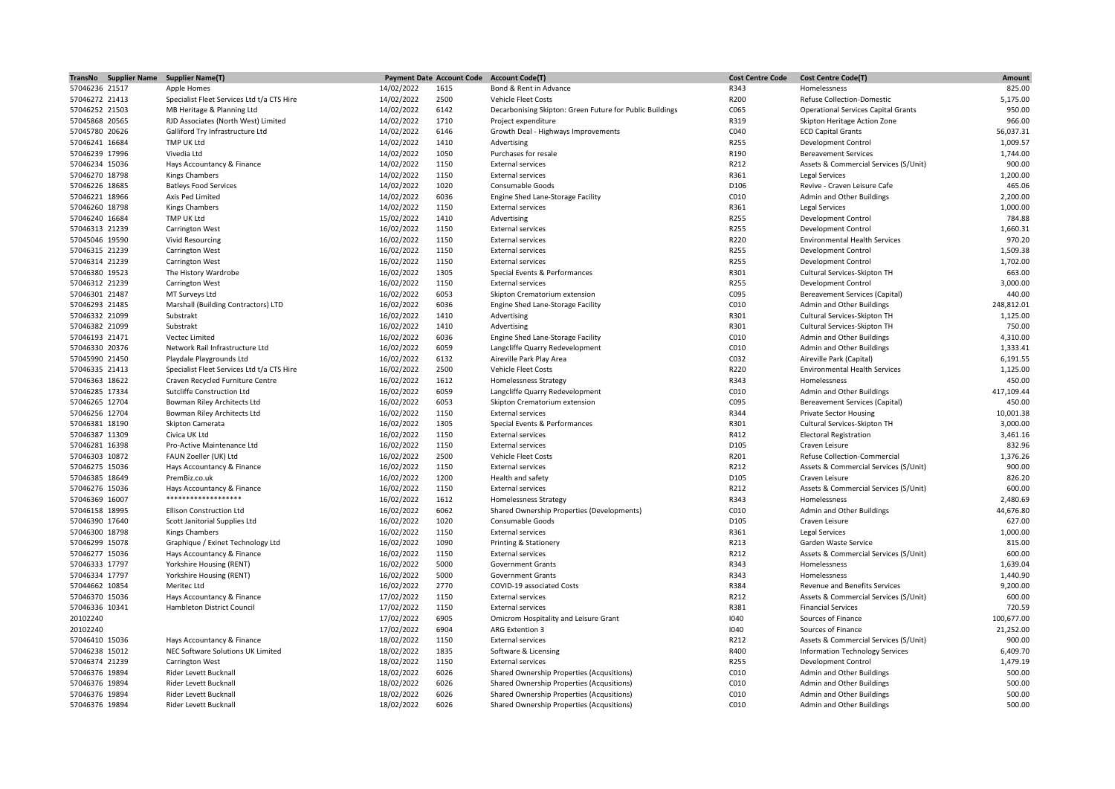| TransNo        | <b>Supplier Name</b> | <b>Supplier Name(T)</b>                    |            | <b>Payment Date Account Code</b> | <b>Account Code(T)</b>                                   | <b>Cost Centre Code</b> | <b>Cost Centre Code(T)</b>                 | Amount     |
|----------------|----------------------|--------------------------------------------|------------|----------------------------------|----------------------------------------------------------|-------------------------|--------------------------------------------|------------|
| 57046236 21517 |                      | Apple Homes                                | 14/02/2022 | 1615                             | Bond & Rent in Advance                                   | R343                    | Homelessness                               | 825.00     |
| 57046272 21413 |                      | Specialist Fleet Services Ltd t/a CTS Hire | 14/02/2022 | 2500                             | <b>Vehicle Fleet Costs</b>                               | R200                    | Refuse Collection-Domestic                 | 5,175.00   |
| 57046252 21503 |                      | MB Heritage & Planning Ltd                 | 14/02/2022 | 6142                             | Decarbonising Skipton: Green Future for Public Buildings | C065                    | <b>Operational Services Capital Grants</b> | 950.00     |
| 57045868 20565 |                      | RJD Associates (North West) Limited        | 14/02/2022 | 1710                             | Project expenditure                                      | R319                    | Skipton Heritage Action Zone               | 966.00     |
| 57045780 20626 |                      | Galliford Try Infrastructure Ltd           | 14/02/2022 | 6146                             | Growth Deal - Highways Improvements                      | C040                    | <b>ECD Capital Grants</b>                  | 56,037.31  |
| 57046241 16684 |                      | TMP UK Ltd                                 | 14/02/2022 | 1410                             | Advertising                                              | R255                    | <b>Development Control</b>                 | 1,009.57   |
| 57046239 17996 |                      | Vivedia Ltd                                | 14/02/2022 | 1050                             | Purchases for resale                                     | R190                    | <b>Bereavement Services</b>                | 1,744.00   |
| 57046234 15036 |                      | Hays Accountancy & Finance                 | 14/02/2022 | 1150                             | <b>External services</b>                                 | R212                    | Assets & Commercial Services (S/Unit)      | 900.00     |
| 57046270 18798 |                      | <b>Kings Chambers</b>                      | 14/02/2022 | 1150                             |                                                          | R361                    |                                            | 1,200.00   |
|                |                      |                                            |            |                                  | <b>External services</b>                                 |                         | Legal Services                             |            |
| 57046226 18685 |                      | <b>Batleys Food Services</b>               | 14/02/2022 | 1020                             | Consumable Goods                                         | D106                    | Revive - Craven Leisure Cafe               | 465.06     |
| 57046221 18966 |                      | Axis Ped Limited                           | 14/02/2022 | 6036                             | Engine Shed Lane-Storage Facility                        | C010                    | Admin and Other Buildings                  | 2,200.00   |
| 57046260 18798 |                      | <b>Kings Chambers</b>                      | 14/02/2022 | 1150                             | <b>External services</b>                                 | R361                    | Legal Services                             | 1,000.00   |
| 57046240 16684 |                      | TMP UK Ltd                                 | 15/02/2022 | 1410                             | Advertising                                              | R255                    | <b>Development Control</b>                 | 784.88     |
| 57046313 21239 |                      | Carrington West                            | 16/02/2022 | 1150                             | <b>External services</b>                                 | R255                    | Development Control                        | 1,660.31   |
| 57045046 19590 |                      | <b>Vivid Resourcing</b>                    | 16/02/2022 | 1150                             | <b>External services</b>                                 | R220                    | <b>Environmental Health Services</b>       | 970.20     |
| 57046315 21239 |                      | Carrington West                            | 16/02/2022 | 1150                             | <b>External services</b>                                 | R255                    | <b>Development Control</b>                 | 1,509.38   |
| 57046314 21239 |                      | Carrington West                            | 16/02/2022 | 1150                             | <b>External services</b>                                 | R255                    | <b>Development Control</b>                 | 1,702.00   |
| 57046380 19523 |                      | The History Wardrobe                       | 16/02/2022 | 1305                             | Special Events & Performances                            | R301                    | Cultural Services-Skipton TH               | 663.00     |
| 57046312 21239 |                      | Carrington West                            | 16/02/2022 | 1150                             | <b>External services</b>                                 | R255                    | <b>Development Control</b>                 | 3,000.00   |
| 57046301 21487 |                      | MT Surveys Ltd                             | 16/02/2022 | 6053                             | Skipton Crematorium extension                            | C095                    | Bereavement Services (Capital)             | 440.00     |
| 57046293 21485 |                      | Marshall (Building Contractors) LTD        | 16/02/2022 | 6036                             | Engine Shed Lane-Storage Facility                        | C010                    | Admin and Other Buildings                  | 248,812.01 |
| 57046332 21099 |                      | Substrakt                                  | 16/02/2022 | 1410                             | Advertising                                              | R301                    | Cultural Services-Skipton TH               | 1,125.00   |
| 57046382 21099 |                      | Substrakt                                  | 16/02/2022 | 1410                             | Advertising                                              | R301                    | Cultural Services-Skipton TH               | 750.00     |
| 57046193 21471 |                      | Vectec Limited                             | 16/02/2022 | 6036                             | Engine Shed Lane-Storage Facility                        | C010                    | Admin and Other Buildings                  | 4,310.00   |
| 57046330 20376 |                      | Network Rail Infrastructure Ltd            | 16/02/2022 | 6059                             | Langcliffe Quarry Redevelopment                          | C010                    | Admin and Other Buildings                  | 1,333.41   |
|                |                      |                                            |            |                                  |                                                          | C032                    |                                            |            |
| 57045990 21450 |                      | Playdale Playgrounds Ltd                   | 16/02/2022 | 6132                             | Aireville Park Play Area                                 |                         | Aireville Park (Capital)                   | 6,191.55   |
| 57046335 21413 |                      | Specialist Fleet Services Ltd t/a CTS Hire | 16/02/2022 | 2500                             | Vehicle Fleet Costs                                      | R220                    | <b>Environmental Health Services</b>       | 1,125.00   |
| 57046363 18622 |                      | Craven Recycled Furniture Centre           | 16/02/2022 | 1612                             | <b>Homelessness Strategy</b>                             | R343                    | Homelessness                               | 450.00     |
| 57046285 17334 |                      | Sutcliffe Construction Ltd                 | 16/02/2022 | 6059                             | Langcliffe Quarry Redevelopment                          | C010                    | Admin and Other Buildings                  | 417,109.44 |
| 57046265 12704 |                      | Bowman Riley Architects Ltd                | 16/02/2022 | 6053                             | Skipton Crematorium extension                            | C095                    | Bereavement Services (Capital)             | 450.00     |
| 57046256 12704 |                      | Bowman Riley Architects Ltd                | 16/02/2022 | 1150                             | <b>External services</b>                                 | R344                    | <b>Private Sector Housing</b>              | 10,001.38  |
| 57046381 18190 |                      | Skipton Camerata                           | 16/02/2022 | 1305                             | Special Events & Performances                            | R301                    | Cultural Services-Skipton TH               | 3,000.00   |
| 57046387 11309 |                      | Civica UK Ltd                              | 16/02/2022 | 1150                             | <b>External services</b>                                 | R412                    | <b>Electoral Registration</b>              | 3,461.16   |
| 57046281 16398 |                      | Pro-Active Maintenance Ltd                 | 16/02/2022 | 1150                             | <b>External services</b>                                 | D105                    | Craven Leisure                             | 832.96     |
| 57046303 10872 |                      | FAUN Zoeller (UK) Ltd                      | 16/02/2022 | 2500                             | Vehicle Fleet Costs                                      | R201                    | Refuse Collection-Commercial               | 1,376.26   |
| 57046275 15036 |                      | Hays Accountancy & Finance                 | 16/02/2022 | 1150                             | <b>External services</b>                                 | R212                    | Assets & Commercial Services (S/Unit)      | 900.00     |
| 57046385 18649 |                      | PremBiz.co.uk                              | 16/02/2022 | 1200                             | Health and safety                                        | D105                    | Craven Leisure                             | 826.20     |
| 57046276 15036 |                      | Hays Accountancy & Finance                 | 16/02/2022 | 1150                             | <b>External services</b>                                 | R212                    | Assets & Commercial Services (S/Unit)      | 600.00     |
| 57046369 16007 |                      | *******************                        | 16/02/2022 | 1612                             | Homelessness Strategy                                    | R343                    | Homelessness                               | 2,480.69   |
| 57046158 18995 |                      | <b>Ellison Construction Ltd</b>            | 16/02/2022 | 6062                             | Shared Ownership Properties (Developments)               | C010                    | Admin and Other Buildings                  | 44,676.80  |
| 57046390 17640 |                      | Scott Janitorial Supplies Ltd              | 16/02/2022 | 1020                             | Consumable Goods                                         | D105                    | Craven Leisure                             | 627.00     |
| 57046300 18798 |                      | Kings Chambers                             | 16/02/2022 | 1150                             | <b>External services</b>                                 | R361                    | Legal Services                             | 1,000.00   |
| 57046299 15078 |                      | Graphique / Exinet Technology Ltd          | 16/02/2022 | 1090                             | Printing & Stationery                                    | R213                    | Garden Waste Service                       | 815.00     |
|                |                      |                                            |            | 1150                             |                                                          | R212                    |                                            | 600.00     |
| 57046277 15036 |                      | Hays Accountancy & Finance                 | 16/02/2022 |                                  | <b>External services</b>                                 |                         | Assets & Commercial Services (S/Unit)      |            |
| 57046333 17797 |                      | Yorkshire Housing (RENT)                   | 16/02/2022 | 5000                             | <b>Government Grants</b>                                 | R343                    | Homelessness                               | 1,639.04   |
| 57046334 17797 |                      | Yorkshire Housing (RENT)                   | 16/02/2022 | 5000                             | <b>Government Grants</b>                                 | R343                    | Homelessness                               | 1,440.90   |
| 57044662 10854 |                      | Meritec Ltd                                | 16/02/2022 | 2770                             | COVID-19 associated Costs                                | R384                    | Revenue and Benefits Services              | 9,200.00   |
| 57046370 15036 |                      | Hays Accountancy & Finance                 | 17/02/2022 | 1150                             | <b>External services</b>                                 | R212                    | Assets & Commercial Services (S/Unit)      | 600.00     |
| 57046336 10341 |                      | Hambleton District Council                 | 17/02/2022 | 1150                             | <b>External services</b>                                 | R381                    | <b>Financial Services</b>                  | 720.59     |
| 20102240       |                      |                                            | 17/02/2022 | 6905                             | Omicrom Hospitality and Leisure Grant                    | 1040                    | Sources of Finance                         | 100,677.00 |
| 20102240       |                      |                                            | 17/02/2022 | 6904                             | ARG Extention 3                                          | 1040                    | Sources of Finance                         | 21,252.00  |
| 57046410 15036 |                      | Hays Accountancy & Finance                 | 18/02/2022 | 1150                             | <b>External services</b>                                 | R212                    | Assets & Commercial Services (S/Unit)      | 900.00     |
| 57046238 15012 |                      | NEC Software Solutions UK Limited          | 18/02/2022 | 1835                             | Software & Licensing                                     | R400                    | <b>Information Technology Services</b>     | 6,409.70   |
| 57046374 21239 |                      | Carrington West                            | 18/02/2022 | 1150                             | <b>External services</b>                                 | R255                    | <b>Development Control</b>                 | 1,479.19   |
| 57046376 19894 |                      | Rider Levett Bucknall                      | 18/02/2022 | 6026                             | Shared Ownership Properties (Acqusitions)                | C010                    | Admin and Other Buildings                  | 500.00     |
| 57046376 19894 |                      | Rider Levett Bucknal                       | 18/02/2022 | 6026                             | Shared Ownership Properties (Acqusitions)                | C010                    | Admin and Other Buildings                  | 500.00     |
| 57046376 19894 |                      | Rider Levett Bucknall                      | 18/02/2022 | 6026                             | Shared Ownership Properties (Acqusitions)                | C010                    | Admin and Other Buildings                  | 500.00     |
| 57046376 19894 |                      | Rider Levett Bucknall                      | 18/02/2022 | 6026                             | Shared Ownership Properties (Acqusitions)                | C010                    | Admin and Other Buildings                  | 500.00     |
|                |                      |                                            |            |                                  |                                                          |                         |                                            |            |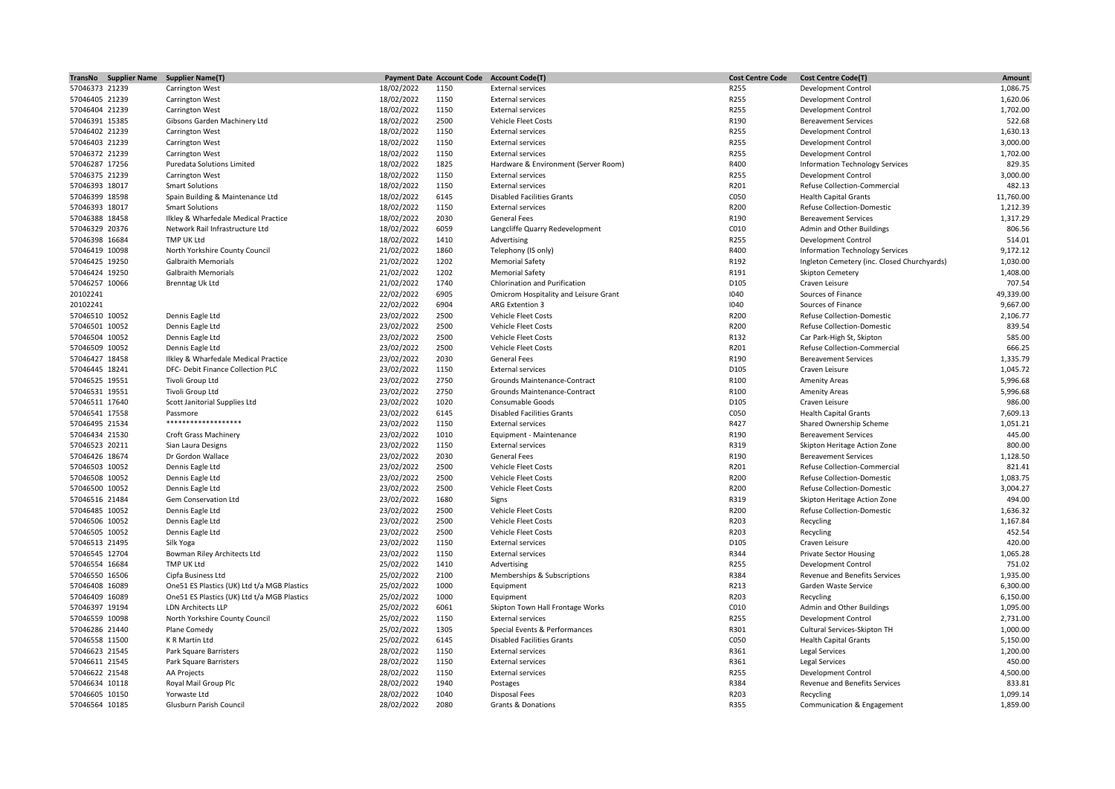| TransNo Supplier Name | <b>Supplier Name(T)</b>                     | <b>Payment Date Account Code</b> |      | <b>Account Code(T)</b>                | <b>Cost Centre Code</b> | <b>Cost Centre Code(T)</b>                  | Amount               |
|-----------------------|---------------------------------------------|----------------------------------|------|---------------------------------------|-------------------------|---------------------------------------------|----------------------|
| 57046373 21239        | Carrington West                             | 18/02/2022                       | 1150 | <b>External services</b>              | R255                    | <b>Development Control</b>                  | 1,086.75             |
| 57046405 21239        | <b>Carrington West</b>                      | 18/02/2022                       | 1150 | <b>External services</b>              | R255                    | <b>Development Control</b>                  | 1,620.06             |
| 57046404 21239        | <b>Carrington West</b>                      | 18/02/2022                       | 1150 | <b>External services</b>              | R255                    | <b>Development Control</b>                  | 1,702.00             |
| 57046391 15385        | Gibsons Garden Machinery Ltd                | 18/02/2022                       | 2500 | <b>Vehicle Fleet Costs</b>            | R190                    | <b>Bereavement Services</b>                 | 522.68               |
| 57046402 21239        | Carrington West                             | 18/02/2022                       | 1150 | <b>External services</b>              | R255                    | Development Control                         | 1,630.13             |
| 57046403 21239        | <b>Carrington West</b>                      | 18/02/2022                       | 1150 | <b>External services</b>              | R255                    | <b>Development Control</b>                  | 3,000.00             |
| 57046372 21239        | <b>Carrington West</b>                      | 18/02/2022                       | 1150 | <b>External services</b>              | R255                    | <b>Development Control</b>                  | 1,702.00             |
| 57046287 17256        | <b>Puredata Solutions Limited</b>           | 18/02/2022                       | 1825 | Hardware & Environment (Server Room)  | R400                    | Information Technology Services             | 829.35               |
| 57046375 21239        | Carrington West                             | 18/02/2022                       | 1150 | <b>External services</b>              | R255                    | <b>Development Control</b>                  | 3,000.00             |
| 57046393 18017        | <b>Smart Solutions</b>                      | 18/02/2022                       | 1150 | <b>External services</b>              | R201                    | Refuse Collection-Commercial                | 482.13               |
| 57046399 18598        | Spain Building & Maintenance Ltd            | 18/02/2022                       | 6145 | <b>Disabled Facilities Grants</b>     | C050                    | <b>Health Capital Grants</b>                | 11,760.00            |
| 57046393 18017        | <b>Smart Solutions</b>                      | 18/02/2022                       | 1150 | <b>External services</b>              | R200                    | <b>Refuse Collection-Domestic</b>           | 1,212.39             |
| 57046388 18458        |                                             |                                  | 2030 | <b>General Fees</b>                   | R190                    | <b>Bereavement Services</b>                 | 1,317.29             |
|                       | Ilkley & Wharfedale Medical Practice        | 18/02/2022                       |      |                                       |                         |                                             |                      |
| 57046329 20376        | Network Rail Infrastructure Ltd             | 18/02/2022                       | 6059 | Langcliffe Quarry Redevelopment       | C010                    | Admin and Other Buildings                   | 806.56               |
| 57046398 16684        | TMP UK Ltd                                  | 18/02/2022                       | 1410 | Advertising                           | R255                    | <b>Development Control</b>                  | 514.01               |
| 57046419 10098        | North Yorkshire County Council              | 21/02/2022                       | 1860 | Telephony (IS only)                   | R400                    | Information Technology Services             | 9,172.12             |
| 57046425 19250        | <b>Galbraith Memorials</b>                  | 21/02/2022                       | 1202 | <b>Memorial Safety</b>                | R192                    | Ingleton Cemetery (inc. Closed Churchyards) | 1,030.00             |
| 57046424 19250        | <b>Galbraith Memorials</b>                  | 21/02/2022                       | 1202 | <b>Memorial Safety</b>                | R191                    | Skipton Cemetery                            | 1,408.00             |
| 57046257 10066        | <b>Brenntag Uk Ltd</b>                      | 21/02/2022                       | 1740 | Chlorination and Purification         | D105                    | Craven Leisure                              | 707.54               |
| 20102241              |                                             | 22/02/2022                       | 6905 | Omicrom Hospitality and Leisure Grant | 1040                    | Sources of Finance                          | 49,339.00            |
| 20102241              |                                             | 22/02/2022                       | 6904 | ARG Extention 3                       | 1040                    | Sources of Finance                          | 9,667.00             |
| 57046510 10052        | Dennis Eagle Ltd                            | 23/02/2022                       | 2500 | Vehicle Fleet Costs                   | R200                    | <b>Refuse Collection-Domestic</b>           | 2,106.77             |
| 57046501 10052        | Dennis Eagle Ltd                            | 23/02/2022                       | 2500 | Vehicle Fleet Costs                   | R200                    | Refuse Collection-Domestic                  | 839.54               |
| 57046504 10052        | Dennis Eagle Ltd                            | 23/02/2022                       | 2500 | <b>Vehicle Fleet Costs</b>            | R132                    | Car Park-High St, Skipton                   | 585.00               |
| 57046509 10052        | Dennis Eagle Ltd                            | 23/02/2022                       | 2500 | Vehicle Fleet Costs                   | R201                    | Refuse Collection-Commercial                | 666.25               |
| 57046427 18458        | Ilkley & Wharfedale Medical Practice        | 23/02/2022                       | 2030 | <b>General Fees</b>                   | R190                    | <b>Bereavement Services</b>                 | 1,335.79             |
| 57046445 18241        | DFC- Debit Finance Collection PLC           | 23/02/2022                       | 1150 | <b>External services</b>              | D105                    | Craven Leisure                              | 1,045.72             |
| 57046525 19551        | Tivoli Group Ltd                            | 23/02/2022                       | 2750 | Grounds Maintenance-Contract          | R100                    | <b>Amenity Areas</b>                        | 5,996.68             |
| 57046531 19551        | Tivoli Group Ltd                            | 23/02/2022                       | 2750 | Grounds Maintenance-Contract          | R100                    | <b>Amenity Areas</b>                        | 5,996.68             |
| 57046511 17640        | Scott Janitorial Supplies Ltd               | 23/02/2022                       | 1020 | Consumable Goods                      | D105                    | Craven Leisure                              | 986.00               |
| 57046541 17558        | Passmore                                    | 23/02/2022                       | 6145 | <b>Disabled Facilities Grants</b>     | C050                    | <b>Health Capital Grants</b>                | 7,609.13             |
| 57046495 21534        | *******************                         | 23/02/2022                       | 1150 | <b>External services</b>              | R427                    | Shared Ownership Scheme                     | 1,051.21             |
| 57046434 21530        | Croft Grass Machinery                       | 23/02/2022                       | 1010 | Equipment - Maintenance               | R190                    | <b>Bereavement Services</b>                 | 445.00               |
| 57046523 20211        | Sian Laura Designs                          | 23/02/2022                       | 1150 | <b>External services</b>              | R319                    | Skipton Heritage Action Zone                | 800.00               |
| 57046426 18674        | Dr Gordon Wallace                           | 23/02/2022                       | 2030 | <b>General Fees</b>                   | R190                    | <b>Bereavement Services</b>                 | 1,128.50             |
|                       |                                             | 23/02/2022                       | 2500 |                                       | R201                    |                                             | 821.41               |
| 57046503 10052        | Dennis Eagle Ltd                            |                                  |      | Vehicle Fleet Costs                   |                         | Refuse Collection-Commercial                |                      |
| 57046508 10052        | Dennis Eagle Ltd                            | 23/02/2022                       | 2500 | <b>Vehicle Fleet Costs</b>            | R200                    | <b>Refuse Collection-Domestic</b>           | 1,083.75<br>3,004.27 |
| 57046500 10052        | Dennis Eagle Ltd                            | 23/02/2022                       | 2500 | Vehicle Fleet Costs                   | R200                    | <b>Refuse Collection-Domestic</b>           |                      |
| 57046516 21484        | Gem Conservation Ltd                        | 23/02/2022                       | 1680 | Signs                                 | R319                    | Skipton Heritage Action Zone                | 494.00               |
| 57046485 10052        | Dennis Eagle Ltd                            | 23/02/2022                       | 2500 | <b>Vehicle Fleet Costs</b>            | R200                    | <b>Refuse Collection-Domestic</b>           | 1,636.32             |
| 57046506 10052        | Dennis Eagle Ltd                            | 23/02/2022                       | 2500 | <b>Vehicle Fleet Costs</b>            | R203                    | Recycling                                   | 1,167.84             |
| 57046505 10052        | Dennis Eagle Ltd                            | 23/02/2022                       | 2500 | Vehicle Fleet Costs                   | R203                    | Recycling                                   | 452.54               |
| 57046513 21495        | Silk Yoga                                   | 23/02/2022                       | 1150 | <b>External services</b>              | D105                    | Craven Leisure                              | 420.00               |
| 57046545 12704        | Bowman Riley Architects Ltd                 | 23/02/2022                       | 1150 | <b>External services</b>              | R344                    | <b>Private Sector Housing</b>               | 1,065.28             |
| 57046554 16684        | TMP UK Ltd                                  | 25/02/2022                       | 1410 | Advertising                           | R255                    | <b>Development Control</b>                  | 751.02               |
| 57046550 16506        | Cipfa Business Ltd                          | 25/02/2022                       | 2100 | Memberships & Subscriptions           | R384                    | Revenue and Benefits Services               | 1,935.00             |
| 57046408 16089        | One51 ES Plastics (UK) Ltd t/a MGB Plastics | 25/02/2022                       | 1000 | Equipment                             | R213                    | Garden Waste Service                        | 6,300.00             |
| 57046409 16089        | One51 ES Plastics (UK) Ltd t/a MGB Plastics | 25/02/2022                       | 1000 | Equipment                             | R203                    | Recycling                                   | 6,150.00             |
| 57046397 19194        | LDN Architects LLP                          | 25/02/2022                       | 6061 | Skipton Town Hall Frontage Works      | C010                    | Admin and Other Buildings                   | 1,095.00             |
| 57046559 10098        | North Yorkshire County Council              | 25/02/2022                       | 1150 | <b>External services</b>              | R255                    | <b>Development Control</b>                  | 2,731.00             |
| 57046286 21440        | Plane Comedy                                | 25/02/2022                       | 1305 | Special Events & Performances         | R301                    | Cultural Services-Skipton TH                | 1,000.00             |
| 57046558 11500        | K R Martin Ltd                              | 25/02/2022                       | 6145 | <b>Disabled Facilities Grants</b>     | C050                    | <b>Health Capital Grants</b>                | 5,150.00             |
| 57046623 21545        | Park Square Barristers                      | 28/02/2022                       | 1150 | <b>External services</b>              | R361                    | <b>Legal Services</b>                       | 1,200.00             |
| 57046611 21545        | Park Square Barristers                      | 28/02/2022                       | 1150 | <b>External services</b>              | R361                    | <b>Legal Services</b>                       | 450.00               |
| 57046622 21548        | AA Projects                                 | 28/02/2022                       | 1150 | <b>External services</b>              | R255                    | <b>Development Control</b>                  | 4,500.00             |
| 57046634 10118        | Royal Mail Group Plc                        | 28/02/2022                       | 1940 | Postages                              | R384                    | Revenue and Benefits Services               | 833.81               |
| 57046605 10150        | Yorwaste Ltd                                | 28/02/2022                       | 1040 | Disposal Fees                         | R203                    | Recycling                                   | 1,099.14             |
| 57046564 10185        | Glusburn Parish Council                     | 28/02/2022                       | 2080 | <b>Grants &amp; Donations</b>         | R355                    | Communication & Engagement                  | 1,859.00             |